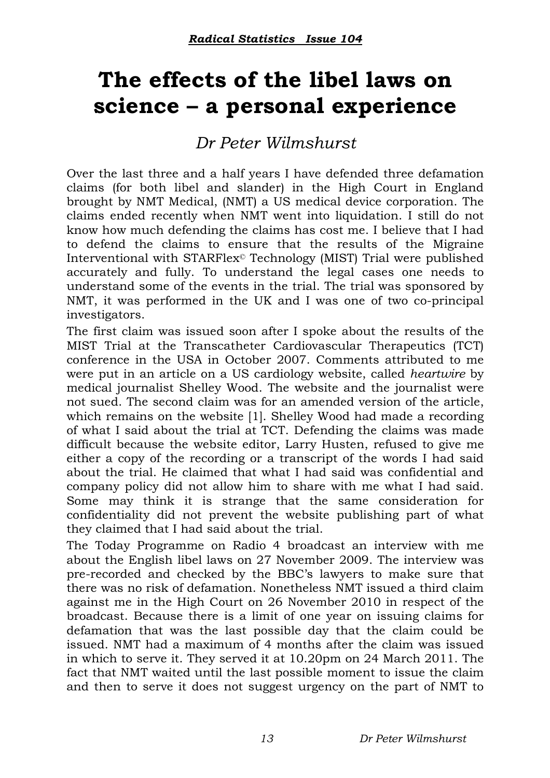## **The effects of the libel laws on science – a personal experience**

## *Dr Peter Wilmshurst*

Over the last three and a half years I have defended three defamation claims (for both libel and slander) in the High Court in England brought by NMT Medical, (NMT) a US medical device corporation. The claims ended recently when NMT went into liquidation. I still do not know how much defending the claims has cost me. I believe that I had to defend the claims to ensure that the results of the Migraine Interventional with STARFlex© Technology (MIST) Trial were published accurately and fully. To understand the legal cases one needs to understand some of the events in the trial. The trial was sponsored by NMT, it was performed in the UK and I was one of two co-principal investigators.

The first claim was issued soon after I spoke about the results of the MIST Trial at the Transcatheter Cardiovascular Therapeutics (TCT) conference in the USA in October 2007. Comments attributed to me were put in an article on a US cardiology website, called *heartwire* by medical journalist Shelley Wood. The website and the journalist were not sued. The second claim was for an amended version of the article, which remains on the website [1]. Shelley Wood had made a recording of what I said about the trial at TCT. Defending the claims was made difficult because the website editor, Larry Husten, refused to give me either a copy of the recording or a transcript of the words I had said about the trial. He claimed that what I had said was confidential and company policy did not allow him to share with me what I had said. Some may think it is strange that the same consideration for confidentiality did not prevent the website publishing part of what they claimed that I had said about the trial.

The Today Programme on Radio 4 broadcast an interview with me about the English libel laws on 27 November 2009. The interview was pre-recorded and checked by the BBC's lawyers to make sure that there was no risk of defamation. Nonetheless NMT issued a third claim against me in the High Court on 26 November 2010 in respect of the broadcast. Because there is a limit of one year on issuing claims for defamation that was the last possible day that the claim could be issued. NMT had a maximum of 4 months after the claim was issued in which to serve it. They served it at 10.20pm on 24 March 2011. The fact that NMT waited until the last possible moment to issue the claim and then to serve it does not suggest urgency on the part of NMT to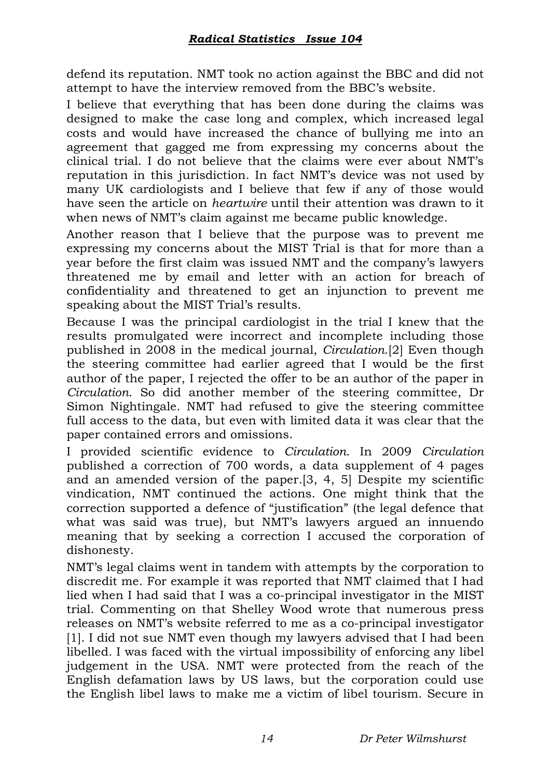defend its reputation. NMT took no action against the BBC and did not attempt to have the interview removed from the BBC's website.

I believe that everything that has been done during the claims was designed to make the case long and complex, which increased legal costs and would have increased the chance of bullying me into an agreement that gagged me from expressing my concerns about the clinical trial. I do not believe that the claims were ever about NMT's reputation in this jurisdiction. In fact NMT's device was not used by many UK cardiologists and I believe that few if any of those would have seen the article on *heartwire* until their attention was drawn to it when news of NMT's claim against me became public knowledge.

Another reason that I believe that the purpose was to prevent me expressing my concerns about the MIST Trial is that for more than a year before the first claim was issued NMT and the company's lawyers threatened me by email and letter with an action for breach of confidentiality and threatened to get an injunction to prevent me speaking about the MIST Trial's results.

Because I was the principal cardiologist in the trial I knew that the results promulgated were incorrect and incomplete including those published in 2008 in the medical journal, *Circulation*.[2] Even though the steering committee had earlier agreed that I would be the first author of the paper, I rejected the offer to be an author of the paper in *Circulation*. So did another member of the steering committee, Dr Simon Nightingale. NMT had refused to give the steering committee full access to the data, but even with limited data it was clear that the paper contained errors and omissions.

I provided scientific evidence to *Circulation*. In 2009 *Circulation* published a correction of 700 words, a data supplement of 4 pages and an amended version of the paper.[3, 4, 5] Despite my scientific vindication, NMT continued the actions. One might think that the correction supported a defence of "justification" (the legal defence that what was said was true), but NMT's lawyers argued an innuendo meaning that by seeking a correction I accused the corporation of dishonesty.

NMT's legal claims went in tandem with attempts by the corporation to discredit me. For example it was reported that NMT claimed that I had lied when I had said that I was a co-principal investigator in the MIST trial. Commenting on that Shelley Wood wrote that numerous press releases on NMT's website referred to me as a co-principal investigator [1]. I did not sue NMT even though my lawyers advised that I had been libelled. I was faced with the virtual impossibility of enforcing any libel judgement in the USA. NMT were protected from the reach of the English defamation laws by US laws, but the corporation could use the English libel laws to make me a victim of libel tourism. Secure in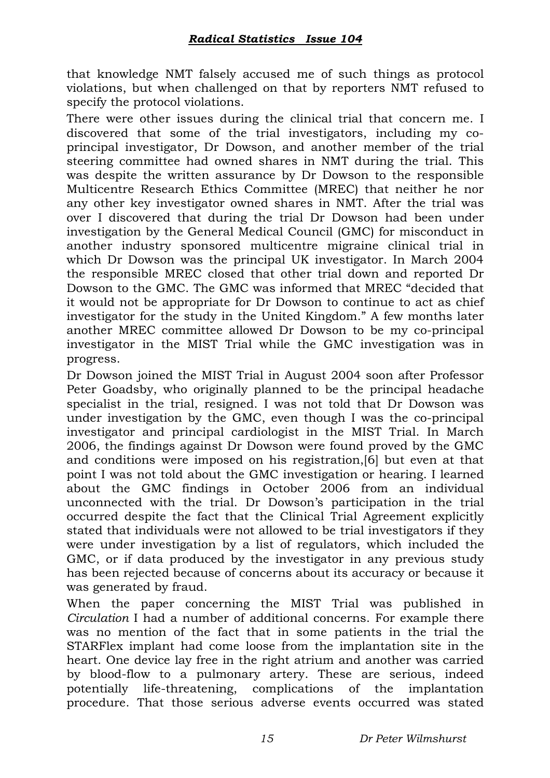that knowledge NMT falsely accused me of such things as protocol violations, but when challenged on that by reporters NMT refused to specify the protocol violations.

There were other issues during the clinical trial that concern me. I discovered that some of the trial investigators, including my coprincipal investigator, Dr Dowson, and another member of the trial steering committee had owned shares in NMT during the trial. This was despite the written assurance by Dr Dowson to the responsible Multicentre Research Ethics Committee (MREC) that neither he nor any other key investigator owned shares in NMT. After the trial was over I discovered that during the trial Dr Dowson had been under investigation by the General Medical Council (GMC) for misconduct in another industry sponsored multicentre migraine clinical trial in which Dr Dowson was the principal UK investigator. In March 2004 the responsible MREC closed that other trial down and reported Dr Dowson to the GMC. The GMC was informed that MREC "decided that it would not be appropriate for Dr Dowson to continue to act as chief investigator for the study in the United Kingdom." A few months later another MREC committee allowed Dr Dowson to be my co-principal investigator in the MIST Trial while the GMC investigation was in progress.

Dr Dowson joined the MIST Trial in August 2004 soon after Professor Peter Goadsby, who originally planned to be the principal headache specialist in the trial, resigned. I was not told that Dr Dowson was under investigation by the GMC, even though I was the co-principal investigator and principal cardiologist in the MIST Trial. In March 2006, the findings against Dr Dowson were found proved by the GMC and conditions were imposed on his registration,[6] but even at that point I was not told about the GMC investigation or hearing. I learned about the GMC findings in October 2006 from an individual unconnected with the trial. Dr Dowson's participation in the trial occurred despite the fact that the Clinical Trial Agreement explicitly stated that individuals were not allowed to be trial investigators if they were under investigation by a list of regulators, which included the GMC, or if data produced by the investigator in any previous study has been rejected because of concerns about its accuracy or because it was generated by fraud.

When the paper concerning the MIST Trial was published in *Circulation* I had a number of additional concerns. For example there was no mention of the fact that in some patients in the trial the STARFlex implant had come loose from the implantation site in the heart. One device lay free in the right atrium and another was carried by blood-flow to a pulmonary artery. These are serious, indeed potentially life-threatening, complications of the implantation procedure. That those serious adverse events occurred was stated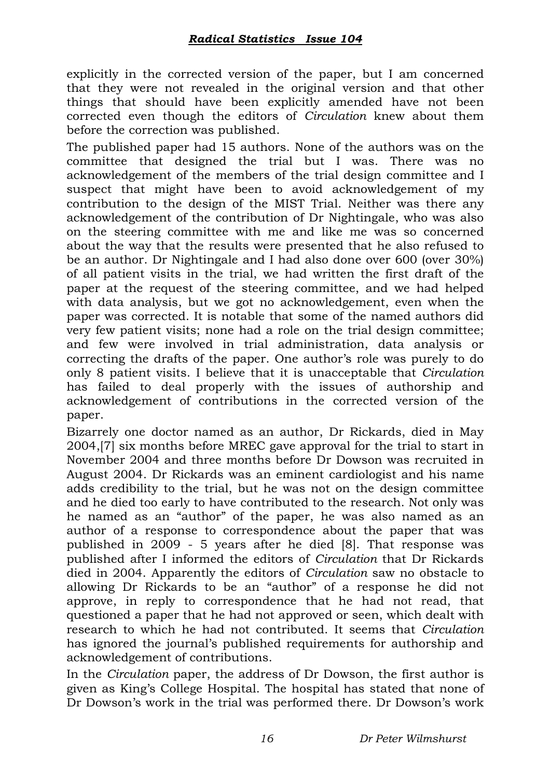explicitly in the corrected version of the paper, but I am concerned that they were not revealed in the original version and that other things that should have been explicitly amended have not been corrected even though the editors of *Circulation* knew about them before the correction was published.

The published paper had 15 authors. None of the authors was on the committee that designed the trial but I was. There was no acknowledgement of the members of the trial design committee and I suspect that might have been to avoid acknowledgement of my contribution to the design of the MIST Trial. Neither was there any acknowledgement of the contribution of Dr Nightingale, who was also on the steering committee with me and like me was so concerned about the way that the results were presented that he also refused to be an author. Dr Nightingale and I had also done over 600 (over 30%) of all patient visits in the trial, we had written the first draft of the paper at the request of the steering committee, and we had helped with data analysis, but we got no acknowledgement, even when the paper was corrected. It is notable that some of the named authors did very few patient visits; none had a role on the trial design committee; and few were involved in trial administration, data analysis or correcting the drafts of the paper. One author's role was purely to do only 8 patient visits. I believe that it is unacceptable that *Circulation* has failed to deal properly with the issues of authorship and acknowledgement of contributions in the corrected version of the paper.

Bizarrely one doctor named as an author, Dr Rickards, died in May 2004,[7] six months before MREC gave approval for the trial to start in November 2004 and three months before Dr Dowson was recruited in August 2004. Dr Rickards was an eminent cardiologist and his name adds credibility to the trial, but he was not on the design committee and he died too early to have contributed to the research. Not only was he named as an "author" of the paper, he was also named as an author of a response to correspondence about the paper that was published in 2009 - 5 years after he died [8]. That response was published after I informed the editors of *Circulation* that Dr Rickards died in 2004. Apparently the editors of *Circulation* saw no obstacle to allowing Dr Rickards to be an "author" of a response he did not approve, in reply to correspondence that he had not read, that questioned a paper that he had not approved or seen, which dealt with research to which he had not contributed. It seems that *Circulation* has ignored the journal's published requirements for authorship and acknowledgement of contributions.

In the *Circulation* paper, the address of Dr Dowson, the first author is given as King's College Hospital. The hospital has stated that none of Dr Dowson's work in the trial was performed there. Dr Dowson's work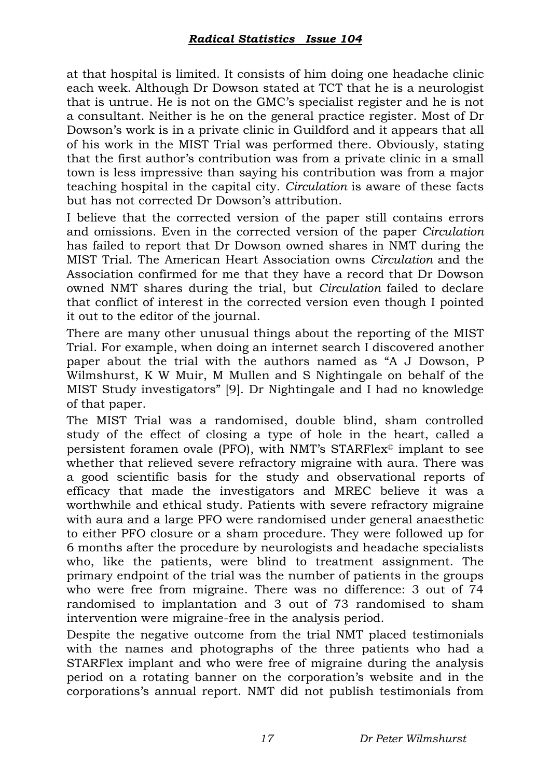at that hospital is limited. It consists of him doing one headache clinic each week. Although Dr Dowson stated at TCT that he is a neurologist that is untrue. He is not on the GMC's specialist register and he is not a consultant. Neither is he on the general practice register. Most of Dr Dowson's work is in a private clinic in Guildford and it appears that all of his work in the MIST Trial was performed there. Obviously, stating that the first author's contribution was from a private clinic in a small town is less impressive than saying his contribution was from a major teaching hospital in the capital city. *Circulation* is aware of these facts but has not corrected Dr Dowson's attribution.

I believe that the corrected version of the paper still contains errors and omissions. Even in the corrected version of the paper *Circulation* has failed to report that Dr Dowson owned shares in NMT during the MIST Trial. The American Heart Association owns *Circulation* and the Association confirmed for me that they have a record that Dr Dowson owned NMT shares during the trial, but *Circulation* failed to declare that conflict of interest in the corrected version even though I pointed it out to the editor of the journal.

There are many other unusual things about the reporting of the MIST Trial. For example, when doing an internet search I discovered another paper about the trial with the authors named as "A J Dowson, P Wilmshurst, K W Muir, M Mullen and S Nightingale on behalf of the MIST Study investigators" [9]. Dr Nightingale and I had no knowledge of that paper.

The MIST Trial was a randomised, double blind, sham controlled study of the effect of closing a type of hole in the heart, called a persistent foramen ovale (PFO), with NMT's STARFlex© implant to see whether that relieved severe refractory migraine with aura. There was a good scientific basis for the study and observational reports of efficacy that made the investigators and MREC believe it was a worthwhile and ethical study. Patients with severe refractory migraine with aura and a large PFO were randomised under general anaesthetic to either PFO closure or a sham procedure. They were followed up for 6 months after the procedure by neurologists and headache specialists who, like the patients, were blind to treatment assignment. The primary endpoint of the trial was the number of patients in the groups who were free from migraine. There was no difference: 3 out of 74 randomised to implantation and 3 out of 73 randomised to sham intervention were migraine-free in the analysis period.

Despite the negative outcome from the trial NMT placed testimonials with the names and photographs of the three patients who had a STARFlex implant and who were free of migraine during the analysis period on a rotating banner on the corporation's website and in the corporations's annual report. NMT did not publish testimonials from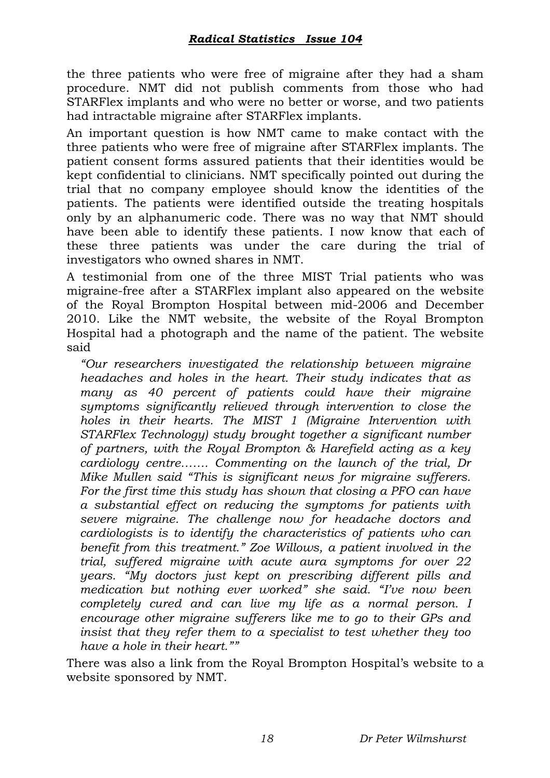the three patients who were free of migraine after they had a sham procedure. NMT did not publish comments from those who had STARFlex implants and who were no better or worse, and two patients had intractable migraine after STARFlex implants.

An important question is how NMT came to make contact with the three patients who were free of migraine after STARFlex implants. The patient consent forms assured patients that their identities would be kept confidential to clinicians. NMT specifically pointed out during the trial that no company employee should know the identities of the patients. The patients were identified outside the treating hospitals only by an alphanumeric code. There was no way that NMT should have been able to identify these patients. I now know that each of these three patients was under the care during the trial of investigators who owned shares in NMT.

A testimonial from one of the three MIST Trial patients who was migraine-free after a STARFlex implant also appeared on the website of the Royal Brompton Hospital between mid-2006 and December 2010. Like the NMT website, the website of the Royal Brompton Hospital had a photograph and the name of the patient. The website said

*"Our researchers investigated the relationship between migraine headaches and holes in the heart. Their study indicates that as many as 40 percent of patients could have their migraine symptoms significantly relieved through intervention to close the holes in their hearts. The MIST 1 (Migraine Intervention with STARFlex Technology) study brought together a significant number of partners, with the Royal Brompton & Harefield acting as a key cardiology centre……. Commenting on the launch of the trial, Dr Mike Mullen said "This is significant news for migraine sufferers. For the first time this study has shown that closing a PFO can have a substantial effect on reducing the symptoms for patients with severe migraine. The challenge now for headache doctors and cardiologists is to identify the characteristics of patients who can benefit from this treatment." Zoe Willows, a patient involved in the trial, suffered migraine with acute aura symptoms for over 22 years. "My doctors just kept on prescribing different pills and medication but nothing ever worked" she said. "I've now been completely cured and can live my life as a normal person. I encourage other migraine sufferers like me to go to their GPs and insist that they refer them to a specialist to test whether they too have a hole in their heart.""*

There was also a link from the Royal Brompton Hospital's website to a website sponsored by NMT.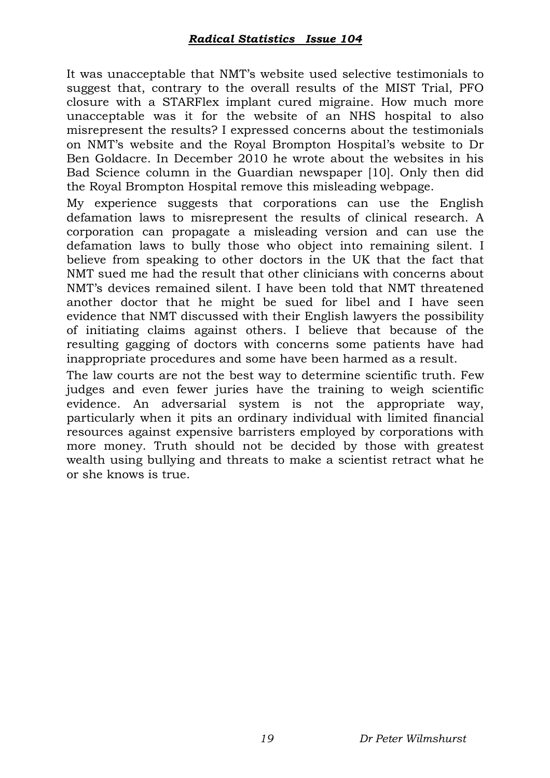It was unacceptable that NMT's website used selective testimonials to suggest that, contrary to the overall results of the MIST Trial, PFO closure with a STARFlex implant cured migraine. How much more unacceptable was it for the website of an NHS hospital to also misrepresent the results? I expressed concerns about the testimonials on NMT's website and the Royal Brompton Hospital's website to Dr Ben Goldacre. In December 2010 he wrote about the websites in his Bad Science column in the Guardian newspaper [10]. Only then did the Royal Brompton Hospital remove this misleading webpage.

My experience suggests that corporations can use the English defamation laws to misrepresent the results of clinical research. A corporation can propagate a misleading version and can use the defamation laws to bully those who object into remaining silent. I believe from speaking to other doctors in the UK that the fact that NMT sued me had the result that other clinicians with concerns about NMT's devices remained silent. I have been told that NMT threatened another doctor that he might be sued for libel and I have seen evidence that NMT discussed with their English lawyers the possibility of initiating claims against others. I believe that because of the resulting gagging of doctors with concerns some patients have had inappropriate procedures and some have been harmed as a result.

The law courts are not the best way to determine scientific truth. Few judges and even fewer juries have the training to weigh scientific evidence. An adversarial system is not the appropriate way, particularly when it pits an ordinary individual with limited financial resources against expensive barristers employed by corporations with more money. Truth should not be decided by those with greatest wealth using bullying and threats to make a scientist retract what he or she knows is true.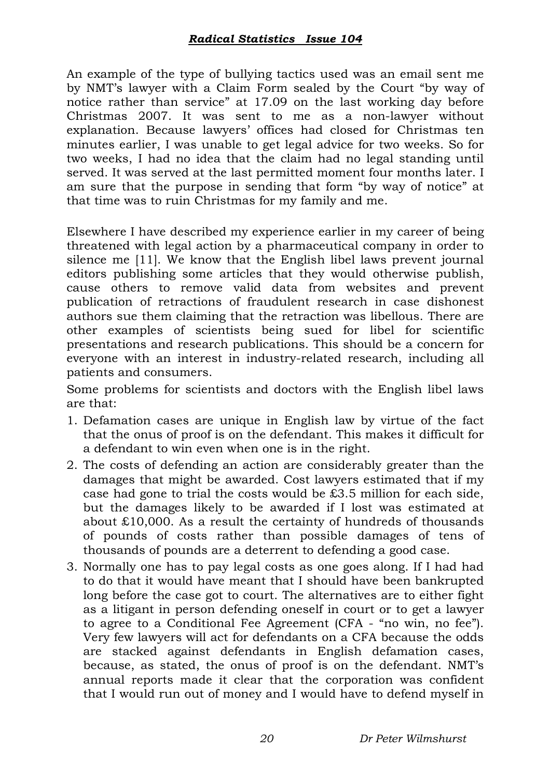## *Radical Statistics Issue 104*

An example of the type of bullying tactics used was an email sent me by NMT's lawyer with a Claim Form sealed by the Court "by way of notice rather than service" at 17.09 on the last working day before Christmas 2007. It was sent to me as a non-lawyer without explanation. Because lawyers' offices had closed for Christmas ten minutes earlier, I was unable to get legal advice for two weeks. So for two weeks, I had no idea that the claim had no legal standing until served. It was served at the last permitted moment four months later. I am sure that the purpose in sending that form "by way of notice" at that time was to ruin Christmas for my family and me.

Elsewhere I have described my experience earlier in my career of being threatened with legal action by a pharmaceutical company in order to silence me [11]. We know that the English libel laws prevent journal editors publishing some articles that they would otherwise publish, cause others to remove valid data from websites and prevent publication of retractions of fraudulent research in case dishonest authors sue them claiming that the retraction was libellous. There are other examples of scientists being sued for libel for scientific presentations and research publications. This should be a concern for everyone with an interest in industry-related research, including all patients and consumers.

Some problems for scientists and doctors with the English libel laws are that:

- 1. Defamation cases are unique in English law by virtue of the fact that the onus of proof is on the defendant. This makes it difficult for a defendant to win even when one is in the right.
- 2. The costs of defending an action are considerably greater than the damages that might be awarded. Cost lawyers estimated that if my case had gone to trial the costs would be £3.5 million for each side, but the damages likely to be awarded if I lost was estimated at about £10,000. As a result the certainty of hundreds of thousands of pounds of costs rather than possible damages of tens of thousands of pounds are a deterrent to defending a good case.
- 3. Normally one has to pay legal costs as one goes along. If I had had to do that it would have meant that I should have been bankrupted long before the case got to court. The alternatives are to either fight as a litigant in person defending oneself in court or to get a lawyer to agree to a Conditional Fee Agreement (CFA - "no win, no fee"). Very few lawyers will act for defendants on a CFA because the odds are stacked against defendants in English defamation cases, because, as stated, the onus of proof is on the defendant. NMT's annual reports made it clear that the corporation was confident that I would run out of money and I would have to defend myself in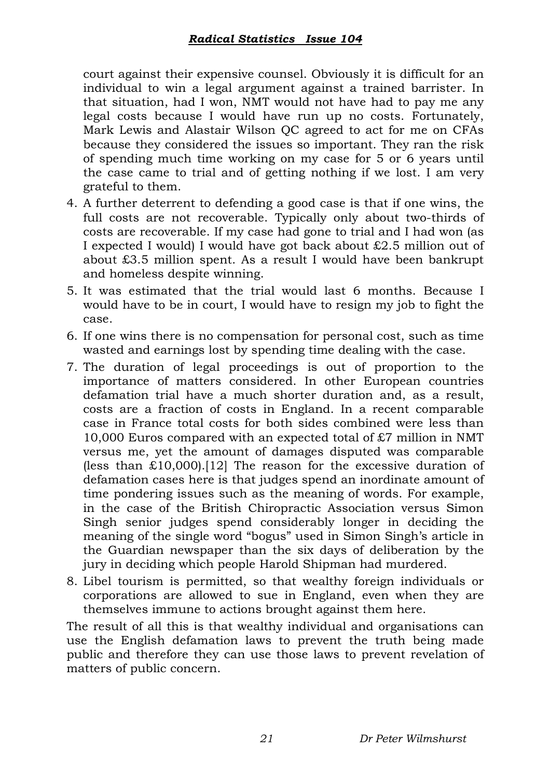court against their expensive counsel. Obviously it is difficult for an individual to win a legal argument against a trained barrister. In that situation, had I won, NMT would not have had to pay me any legal costs because I would have run up no costs. Fortunately, Mark Lewis and Alastair Wilson QC agreed to act for me on CFAs because they considered the issues so important. They ran the risk of spending much time working on my case for 5 or 6 years until the case came to trial and of getting nothing if we lost. I am very grateful to them.

- 4. A further deterrent to defending a good case is that if one wins, the full costs are not recoverable. Typically only about two-thirds of costs are recoverable. If my case had gone to trial and I had won (as I expected I would) I would have got back about £2.5 million out of about £3.5 million spent. As a result I would have been bankrupt and homeless despite winning.
- 5. It was estimated that the trial would last 6 months. Because I would have to be in court, I would have to resign my job to fight the case.
- 6. If one wins there is no compensation for personal cost, such as time wasted and earnings lost by spending time dealing with the case.
- 7. The duration of legal proceedings is out of proportion to the importance of matters considered. In other European countries defamation trial have a much shorter duration and, as a result, costs are a fraction of costs in England. In a recent comparable case in France total costs for both sides combined were less than 10,000 Euros compared with an expected total of £7 million in NMT versus me, yet the amount of damages disputed was comparable (less than  $£10,000$ ).[12] The reason for the excessive duration of defamation cases here is that judges spend an inordinate amount of time pondering issues such as the meaning of words. For example, in the case of the British Chiropractic Association versus Simon Singh senior judges spend considerably longer in deciding the meaning of the single word "bogus" used in Simon Singh's article in the Guardian newspaper than the six days of deliberation by the jury in deciding which people Harold Shipman had murdered.
- 8. Libel tourism is permitted, so that wealthy foreign individuals or corporations are allowed to sue in England, even when they are themselves immune to actions brought against them here.

The result of all this is that wealthy individual and organisations can use the English defamation laws to prevent the truth being made public and therefore they can use those laws to prevent revelation of matters of public concern.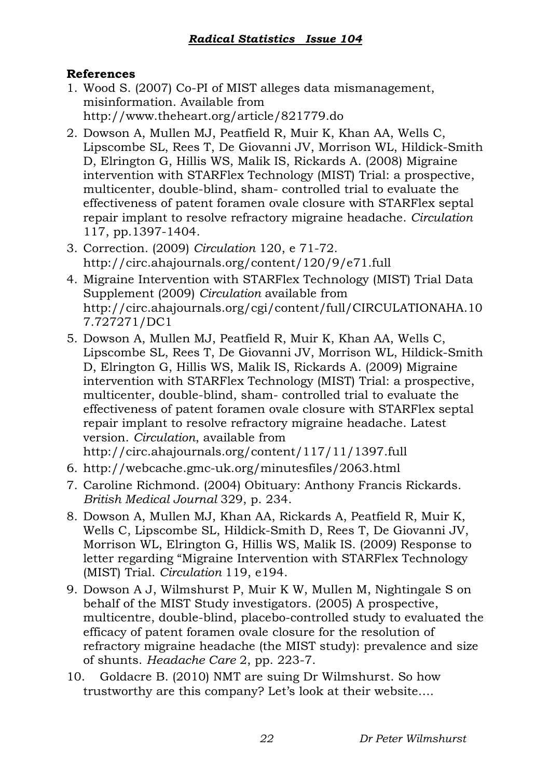## **References**

- 1. Wood S. (2007) Co-PI of MIST alleges data mismanagement, misinformation. Available from http://www.theheart.org/article/821779.do
- 2. Dowson A, Mullen MJ, Peatfield R, Muir K, Khan AA, Wells C, Lipscombe SL, Rees T, De Giovanni JV, Morrison WL, Hildick-Smith D, Elrington G, Hillis WS, Malik IS, Rickards A. (2008) Migraine intervention with STARFlex Technology (MIST) Trial: a prospective, multicenter, double-blind, sham- controlled trial to evaluate the effectiveness of patent foramen ovale closure with STARFlex septal repair implant to resolve refractory migraine headache. *Circulation*  117, pp.1397-1404.
- 3. Correction. (2009) *Circulation* 120, e 71-72. http://circ.ahajournals.org/content/120/9/e71.full
- 4. Migraine Intervention with STARFlex Technology (MIST) Trial Data Supplement (2009) *Circulation* available from http://circ.ahajournals.org/cgi/content/full/CIRCULATIONAHA.10 7.727271/DC1
- 5. Dowson A, Mullen MJ, Peatfield R, Muir K, Khan AA, Wells C, Lipscombe SL, Rees T, De Giovanni JV, Morrison WL, Hildick-Smith D, Elrington G, Hillis WS, Malik IS, Rickards A. (2009) Migraine intervention with STARFlex Technology (MIST) Trial: a prospective, multicenter, double-blind, sham- controlled trial to evaluate the effectiveness of patent foramen ovale closure with STARFlex septal repair implant to resolve refractory migraine headache. Latest version. *Circulation*, available from http://circ.ahajournals.org/content/117/11/1397.full

6. http://webcache.gmc-uk.org/minutesfiles/2063.html

- 7. Caroline Richmond. (2004) Obituary: Anthony Francis Rickards. *British Medical Journal* 329, p. 234.
- 8. Dowson A, Mullen MJ, Khan AA, Rickards A, Peatfield R, Muir K, Wells C, Lipscombe SL, Hildick-Smith D, Rees T, De Giovanni JV, Morrison WL, Elrington G, Hillis WS, Malik IS. (2009) Response to letter regarding "Migraine Intervention with STARFlex Technology (MIST) Trial. *Circulation* 119, e194.
- 9. Dowson A J, Wilmshurst P, Muir K W, Mullen M, Nightingale S on behalf of the MIST Study investigators. (2005) A prospective, multicentre, double-blind, placebo-controlled study to evaluated the efficacy of patent foramen ovale closure for the resolution of refractory migraine headache (the MIST study): prevalence and size of shunts. *Headache Care* 2, pp. 223-7.
- 10. Goldacre B. (2010) NMT are suing Dr Wilmshurst. So how trustworthy are this company? Let's look at their website….